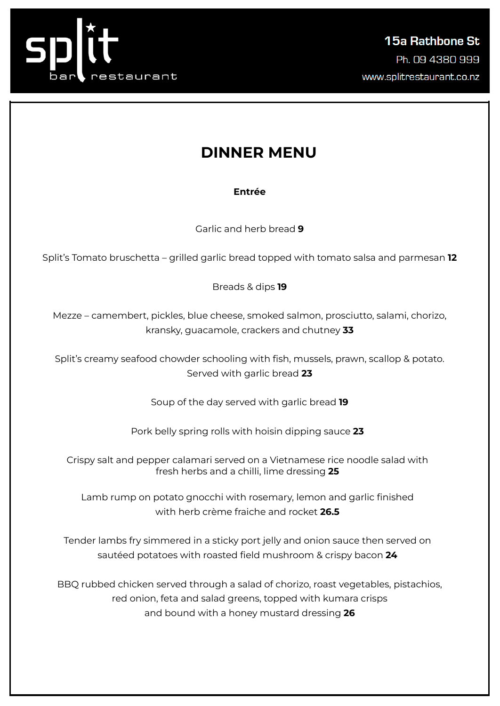

# **DINNER MENU**

### **Entrée**

Garlic and herb bread **9**

Split's Tomato bruschetta – grilled garlic bread topped with tomato salsa and parmesan **12**

Breads & dips **19**

Mezze – camembert, pickles, blue cheese, smoked salmon, prosciutto, salami, chorizo, kransky, guacamole, crackers and chutney **33**

Split's creamy seafood chowder schooling with fish, mussels, prawn, scallop & potato. Served with garlic bread **23**

Soup of the day served with garlic bread **19**

Pork belly spring rolls with hoisin dipping sauce **23**

Crispy salt and pepper calamari served on a Vietnamese rice noodle salad with fresh herbs and a chilli, lime dressing **25**

Lamb rump on potato gnocchi with rosemary, lemon and garlic finished with herb crème fraiche and rocket **26.5**

Tender lambs fry simmered in a sticky port jelly and onion sauce then served on sautéed potatoes with roasted field mushroom & crispy bacon **24**

BBQ rubbed chicken served through a salad of chorizo, roast vegetables, pistachios, red onion, feta and salad greens, topped with kumara crisps and bound with a honey mustard dressing **26**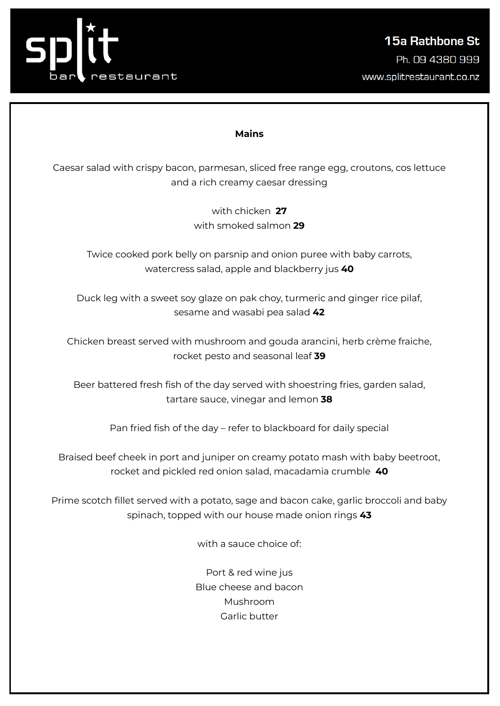

#### **Mains**

Caesar salad with crispy bacon, parmesan, sliced free range egg, croutons, cos lettuce and a rich creamy caesar dressing

> with chicken **27** with smoked salmon **29**

Twice cooked pork belly on parsnip and onion puree with baby carrots, watercress salad, apple and blackberry jus **40**

Duck leg with a sweet soy glaze on pak choy, turmeric and ginger rice pilaf, sesame and wasabi pea salad **42**

Chicken breast served with mushroom and gouda arancini, herb crème fraiche, rocket pesto and seasonal leaf **39**

Beer battered fresh fish of the day served with shoestring fries, garden salad, tartare sauce, vinegar and lemon **38**

Pan fried fish of the day – refer to blackboard for daily special

Braised beef cheek in port and juniper on creamy potato mash with baby beetroot, rocket and pickled red onion salad, macadamia crumble **40**

Prime scotch fillet served with a potato, sage and bacon cake, garlic broccoli and baby spinach, topped with our house made onion rings **43**

with a sauce choice of:

Port & red wine jus Blue cheese and bacon Mushroom Garlic butter